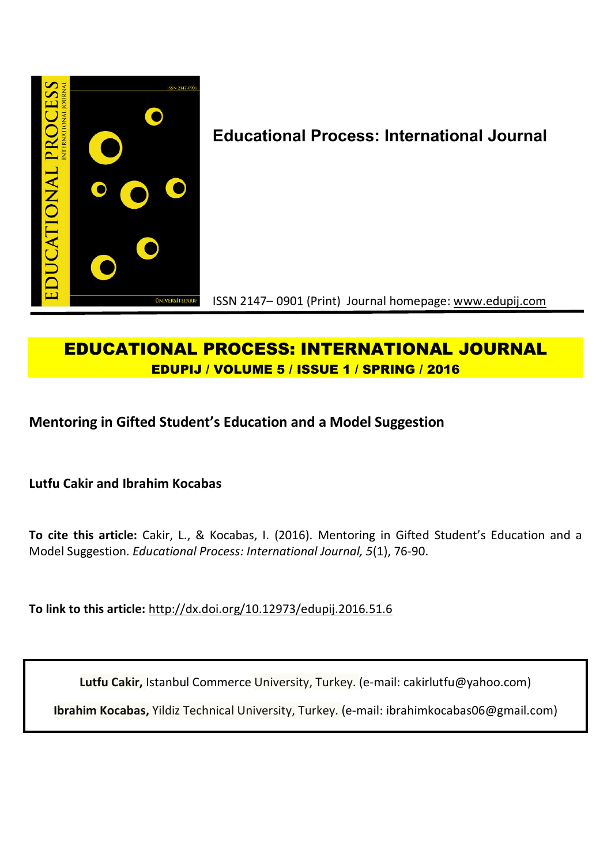

# **Educational Process: International Journal**

ISSN 2147– 0901 (Print) Journal homepage: www.edupij.com

## **EDUCATIONAL PROCESS: INTERNATIONAL JOURNAL EDUPIJ / VOLUME 5 / ISSUE 1 / SPRING / 2016**

**Mentoring in Gifted Student's Education and a Model Suggestion**

**Lutfu Cakir and Ibrahim Kocabas**

**To cite this article:** Cakir, L., & Kocabas, I. (2016). Mentoring in Gifted Student's Education and a Model Suggestion. *Educational Process: International Journal, 5*(1), 76-90.

**To link to this article:** http://dx.doi.org/10.12973/edupij.2016.51.6

**Lutfu Cakir,** Istanbul Commerce University, Turkey. (e-mail: cakirlutfu@yahoo.com)

**Ibrahim Kocabas,** Yildiz Technical University, Turkey. (e-mail: ibrahimkocabas06@gmail.com)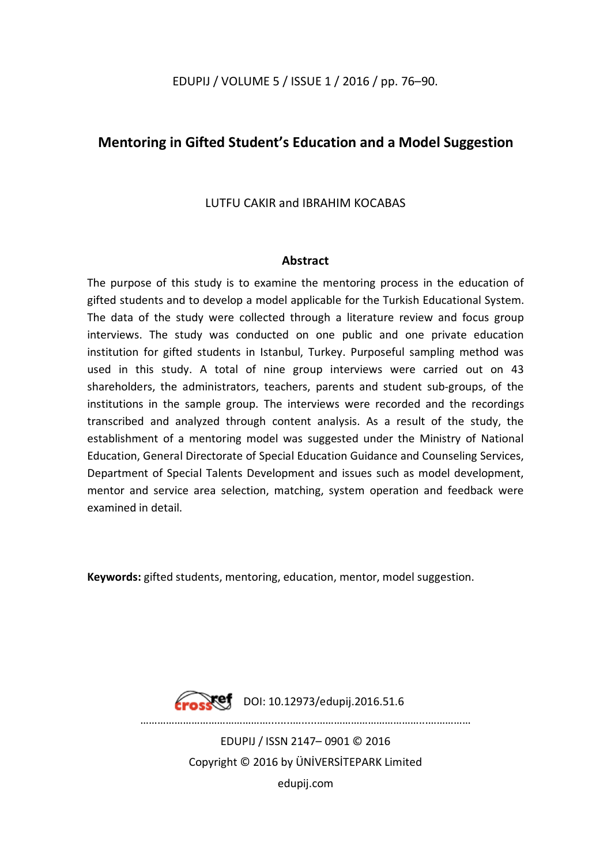### EDUPIJ / VOLUME 5 / ISSUE 1 / 2016 / pp. 76–90.

## **Mentoring in Gifted Student's Education and a Model Suggestion**

## LUTFU CAKIR and IBRAHIM KOCABAS

#### **Abstract**

The purpose of this study is to examine the mentoring process in the education of gifted students and to develop a model applicable for the Turkish Educational System. The data of the study were collected through a literature review and focus group interviews. The study was conducted on one public and one private education institution for gifted students in Istanbul, Turkey. Purposeful sampling method was used in this study. A total of nine group interviews were carried out on 43 shareholders, the administrators, teachers, parents and student sub-groups, of the institutions in the sample group. The interviews were recorded and the recordings transcribed and analyzed through content analysis. As a result of the study, the establishment of a mentoring model was suggested under the Ministry of National Education, General Directorate of Special Education Guidance and Counseling Services, Department of Special Talents Development and issues such as model development, mentor and service area selection, matching, system operation and feedback were examined in detail.

**Keywords:** gifted students, mentoring, education, mentor, model suggestion.



**Crosset** DOI: 10.12973/edupij.2016.51.6

………………………………………........….....………………………………...……………

EDUPIJ / ISSN 2147– 0901 © 2016 Copyright © 2016 by ÜNİVERSİTEPARK Limited edupij.com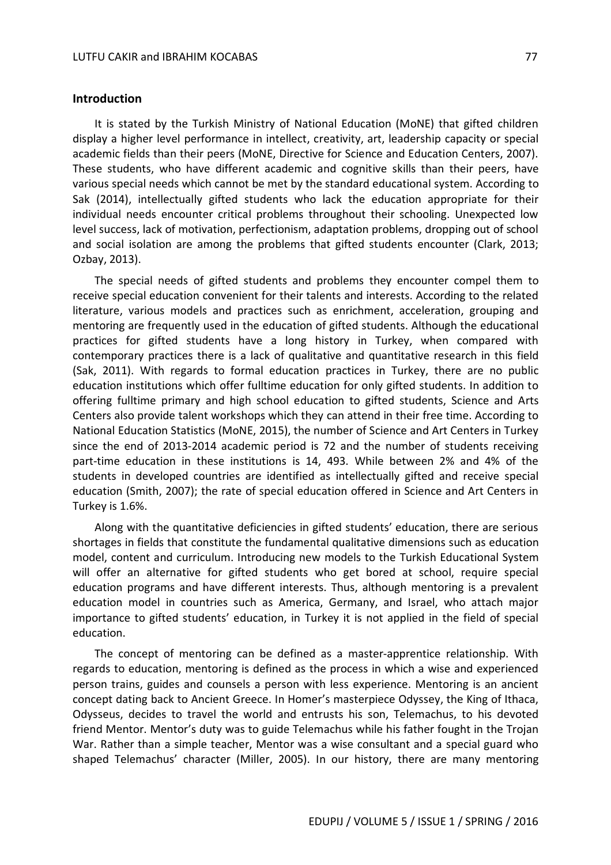#### **Introduction**

It is stated by the Turkish Ministry of National Education (MoNE) that gifted children display a higher level performance in intellect, creativity, art, leadership capacity or special academic fields than their peers (MoNE, Directive for Science and Education Centers, 2007). These students, who have different academic and cognitive skills than their peers, have various special needs which cannot be met by the standard educational system. According to Sak (2014), intellectually gifted students who lack the education appropriate for their individual needs encounter critical problems throughout their schooling. Unexpected low level success, lack of motivation, perfectionism, adaptation problems, dropping out of school and social isolation are among the problems that gifted students encounter (Clark, 2013; Ozbay, 2013).

The special needs of gifted students and problems they encounter compel them to receive special education convenient for their talents and interests. According to the related literature, various models and practices such as enrichment, acceleration, grouping and mentoring are frequently used in the education of gifted students. Although the educational practices for gifted students have a long history in Turkey, when compared with contemporary practices there is a lack of qualitative and quantitative research in this field (Sak, 2011). With regards to formal education practices in Turkey, there are no public education institutions which offer fulltime education for only gifted students. In addition to offering fulltime primary and high school education to gifted students, Science and Arts Centers also provide talent workshops which they can attend in their free time. According to National Education Statistics (MoNE, 2015), the number of Science and Art Centers in Turkey since the end of 2013-2014 academic period is 72 and the number of students receiving part-time education in these institutions is 14, 493. While between 2% and 4% of the students in developed countries are identified as intellectually gifted and receive special education (Smith, 2007); the rate of special education offered in Science and Art Centers in Turkey is 1.6%.

Along with the quantitative deficiencies in gifted students' education, there are serious shortages in fields that constitute the fundamental qualitative dimensions such as education model, content and curriculum. Introducing new models to the Turkish Educational System will offer an alternative for gifted students who get bored at school, require special education programs and have different interests. Thus, although mentoring is a prevalent education model in countries such as America, Germany, and Israel, who attach major importance to gifted students' education, in Turkey it is not applied in the field of special education.

The concept of mentoring can be defined as a master-apprentice relationship. With regards to education, mentoring is defined as the process in which a wise and experienced person trains, guides and counsels a person with less experience. Mentoring is an ancient concept dating back to Ancient Greece. In Homer's masterpiece Odyssey, the King of Ithaca, Odysseus, decides to travel the world and entrusts his son, Telemachus, to his devoted friend Mentor. Mentor's duty was to guide Telemachus while his father fought in the Trojan War. Rather than a simple teacher, Mentor was a wise consultant and a special guard who shaped Telemachus' character (Miller, 2005). In our history, there are many mentoring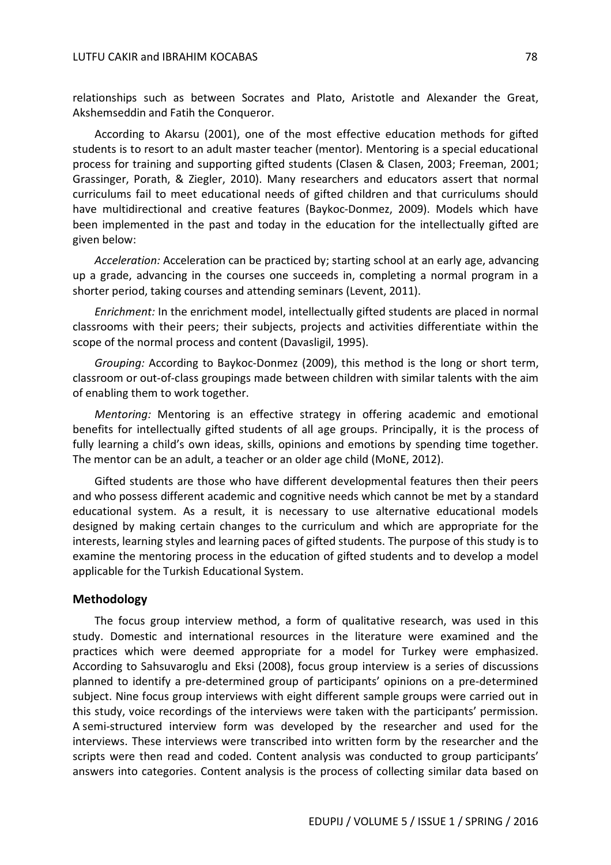relationships such as between Socrates and Plato, Aristotle and Alexander the Great, Akshemseddin and Fatih the Conqueror.

According to Akarsu (2001), one of the most effective education methods for gifted students is to resort to an adult master teacher (mentor). Mentoring is a special educational process for training and supporting gifted students (Clasen & Clasen, 2003; Freeman, 2001; Grassinger, Porath, & Ziegler, 2010). Many researchers and educators assert that normal curriculums fail to meet educational needs of gifted children and that curriculums should have multidirectional and creative features (Baykoc-Donmez, 2009). Models which have been implemented in the past and today in the education for the intellectually gifted are given below:

*Acceleration:* Acceleration can be practiced by; starting school at an early age, advancing up a grade, advancing in the courses one succeeds in, completing a normal program in a shorter period, taking courses and attending seminars (Levent, 2011).

*Enrichment:* In the enrichment model, intellectually gifted students are placed in normal classrooms with their peers; their subjects, projects and activities differentiate within the scope of the normal process and content (Davasligil, 1995).

*Grouping:* According to Baykoc-Donmez (2009), this method is the long or short term, classroom or out-of-class groupings made between children with similar talents with the aim of enabling them to work together.

*Mentoring:* Mentoring is an effective strategy in offering academic and emotional benefits for intellectually gifted students of all age groups. Principally, it is the process of fully learning a child's own ideas, skills, opinions and emotions by spending time together. The mentor can be an adult, a teacher or an older age child (MoNE, 2012).

Gifted students are those who have different developmental features then their peers and who possess different academic and cognitive needs which cannot be met by a standard educational system. As a result, it is necessary to use alternative educational models designed by making certain changes to the curriculum and which are appropriate for the interests, learning styles and learning paces of gifted students. The purpose of this study is to examine the mentoring process in the education of gifted students and to develop a model applicable for the Turkish Educational System.

#### **Methodology**

The focus group interview method, a form of qualitative research, was used in this study. Domestic and international resources in the literature were examined and the practices which were deemed appropriate for a model for Turkey were emphasized. According to Sahsuvaroglu and Eksi (2008), focus group interview is a series of discussions planned to identify a pre-determined group of participants' opinions on a pre-determined subject. Nine focus group interviews with eight different sample groups were carried out in this study, voice recordings of the interviews were taken with the participants' permission. A semi-structured interview form was developed by the researcher and used for the interviews. These interviews were transcribed into written form by the researcher and the scripts were then read and coded. Content analysis was conducted to group participants' answers into categories. Content analysis is the process of collecting similar data based on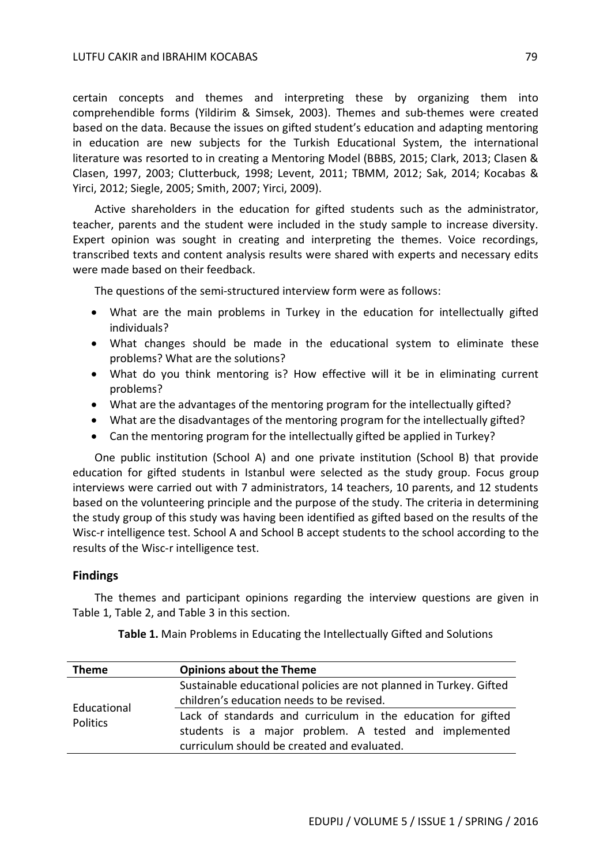certain concepts and themes and interpreting these by organizing them into comprehendible forms (Yildirim & Simsek, 2003). Themes and sub-themes were created based on the data. Because the issues on gifted student's education and adapting mentoring in education are new subjects for the Turkish Educational System, the international literature was resorted to in creating a Mentoring Model (BBBS, 2015; Clark, 2013; Clasen & Clasen, 1997, 2003; Clutterbuck, 1998; Levent, 2011; TBMM, 2012; Sak, 2014; Kocabas & Yirci, 2012; Siegle, 2005; Smith, 2007; Yirci, 2009).

Active shareholders in the education for gifted students such as the administrator, teacher, parents and the student were included in the study sample to increase diversity. Expert opinion was sought in creating and interpreting the themes. Voice recordings, transcribed texts and content analysis results were shared with experts and necessary edits were made based on their feedback.

The questions of the semi-structured interview form were as follows:

- What are the main problems in Turkey in the education for intellectually gifted individuals?
- What changes should be made in the educational system to eliminate these problems? What are the solutions?
- What do you think mentoring is? How effective will it be in eliminating current problems?
- What are the advantages of the mentoring program for the intellectually gifted?
- What are the disadvantages of the mentoring program for the intellectually gifted?
- Can the mentoring program for the intellectually gifted be applied in Turkey?

One public institution (School A) and one private institution (School B) that provide education for gifted students in Istanbul were selected as the study group. Focus group interviews were carried out with 7 administrators, 14 teachers, 10 parents, and 12 students based on the volunteering principle and the purpose of the study. The criteria in determining the study group of this study was having been identified as gifted based on the results of the Wisc-r intelligence test. School A and School B accept students to the school according to the results of the Wisc-r intelligence test.

#### **Findings**

The themes and participant opinions regarding the interview questions are given in Table 1, Table 2, and Table 3 in this section.

| <b>Theme</b>                   | <b>Opinions about the Theme</b>                                                                                                                                      |
|--------------------------------|----------------------------------------------------------------------------------------------------------------------------------------------------------------------|
| Educational<br><b>Politics</b> | Sustainable educational policies are not planned in Turkey. Gifted                                                                                                   |
|                                | children's education needs to be revised.                                                                                                                            |
|                                | Lack of standards and curriculum in the education for gifted<br>students is a major problem. A tested and implemented<br>curriculum should be created and evaluated. |

**Table 1.** Main Problems in Educating the Intellectually Gifted and Solutions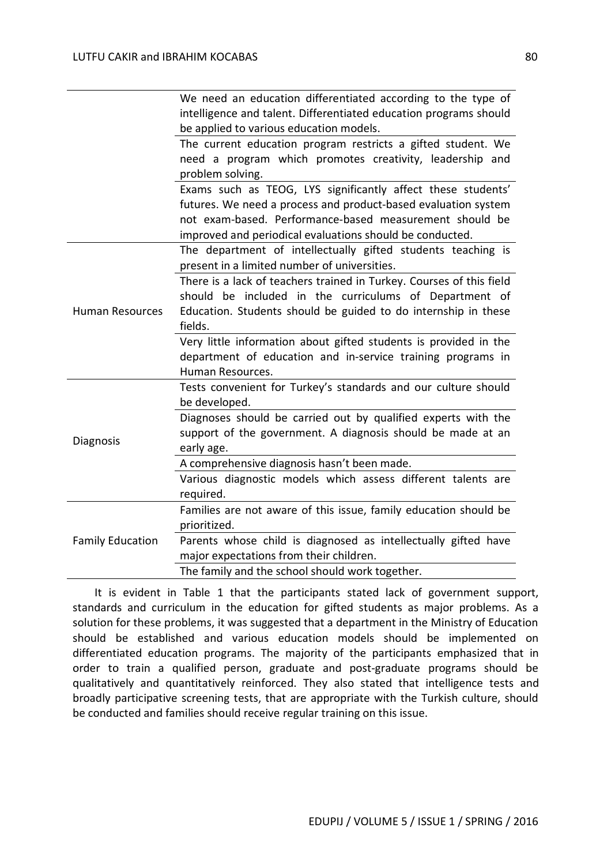|                         | We need an education differentiated according to the type of         |
|-------------------------|----------------------------------------------------------------------|
|                         | intelligence and talent. Differentiated education programs should    |
|                         | be applied to various education models.                              |
|                         | The current education program restricts a gifted student. We         |
|                         | need a program which promotes creativity, leadership and             |
|                         | problem solving.                                                     |
|                         | Exams such as TEOG, LYS significantly affect these students'         |
|                         | futures. We need a process and product-based evaluation system       |
|                         | not exam-based. Performance-based measurement should be              |
|                         | improved and periodical evaluations should be conducted.             |
|                         | The department of intellectually gifted students teaching is         |
|                         | present in a limited number of universities.                         |
|                         | There is a lack of teachers trained in Turkey. Courses of this field |
|                         | should be included in the curriculums of Department of               |
| <b>Human Resources</b>  | Education. Students should be guided to do internship in these       |
|                         | fields.                                                              |
|                         | Very little information about gifted students is provided in the     |
|                         | department of education and in-service training programs in          |
|                         | Human Resources.                                                     |
|                         | Tests convenient for Turkey's standards and our culture should       |
|                         | be developed.                                                        |
|                         | Diagnoses should be carried out by qualified experts with the        |
|                         | support of the government. A diagnosis should be made at an          |
| <b>Diagnosis</b>        | early age.                                                           |
|                         | A comprehensive diagnosis hasn't been made.                          |
|                         | Various diagnostic models which assess different talents are         |
|                         | required.                                                            |
| <b>Family Education</b> | Families are not aware of this issue, family education should be     |
|                         | prioritized.                                                         |
|                         | Parents whose child is diagnosed as intellectually gifted have       |
|                         | major expectations from their children.                              |
|                         |                                                                      |

It is evident in Table 1 that the participants stated lack of government support, standards and curriculum in the education for gifted students as major problems. As a solution for these problems, it was suggested that a department in the Ministry of Education should be established and various education models should be implemented on differentiated education programs. The majority of the participants emphasized that in order to train a qualified person, graduate and post-graduate programs should be qualitatively and quantitatively reinforced. They also stated that intelligence tests and broadly participative screening tests, that are appropriate with the Turkish culture, should be conducted and families should receive regular training on this issue.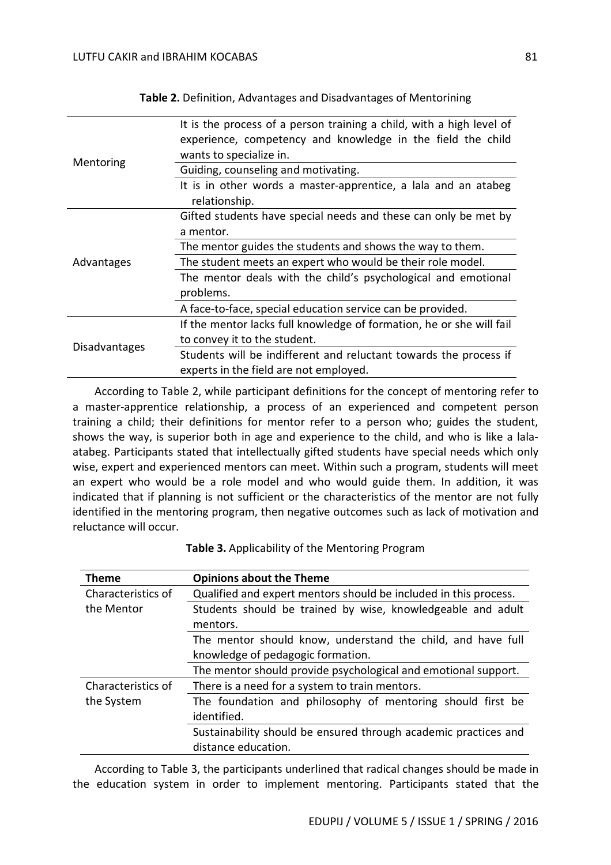| Mentoring            | It is the process of a person training a child, with a high level of<br>experience, competency and knowledge in the field the child<br>wants to specialize in. |
|----------------------|----------------------------------------------------------------------------------------------------------------------------------------------------------------|
|                      | Guiding, counseling and motivating.                                                                                                                            |
|                      | It is in other words a master-apprentice, a lala and an atabeg<br>relationship.                                                                                |
| Advantages           | Gifted students have special needs and these can only be met by                                                                                                |
|                      | a mentor.                                                                                                                                                      |
|                      | The mentor guides the students and shows the way to them.                                                                                                      |
|                      | The student meets an expert who would be their role model.                                                                                                     |
|                      | The mentor deals with the child's psychological and emotional<br>problems.                                                                                     |
|                      | A face-to-face, special education service can be provided.                                                                                                     |
| <b>Disadvantages</b> | If the mentor lacks full knowledge of formation, he or she will fail                                                                                           |
|                      | to convey it to the student.                                                                                                                                   |
|                      | Students will be indifferent and reluctant towards the process if                                                                                              |
|                      | experts in the field are not employed.                                                                                                                         |

**Table 2.** Definition, Advantages and Disadvantages of Mentorining

According to Table 2, while participant definitions for the concept of mentoring refer to a master-apprentice relationship, a process of an experienced and competent person training a child; their definitions for mentor refer to a person who; guides the student, shows the way, is superior both in age and experience to the child, and who is like a lalaatabeg. Participants stated that intellectually gifted students have special needs which only wise, expert and experienced mentors can meet. Within such a program, students will meet an expert who would be a role model and who would guide them. In addition, it was indicated that if planning is not sufficient or the characteristics of the mentor are not fully identified in the mentoring program, then negative outcomes such as lack of motivation and reluctance will occur.

| <b>Theme</b>                     | <b>Opinions about the Theme</b>                                  |
|----------------------------------|------------------------------------------------------------------|
| Characteristics of               | Qualified and expert mentors should be included in this process. |
| the Mentor                       | Students should be trained by wise, knowledgeable and adult      |
|                                  | mentors.                                                         |
|                                  | The mentor should know, understand the child, and have full      |
|                                  | knowledge of pedagogic formation.                                |
|                                  | The mentor should provide psychological and emotional support.   |
| Characteristics of<br>the System | There is a need for a system to train mentors.                   |
|                                  | The foundation and philosophy of mentoring should first be       |
|                                  | identified.                                                      |
|                                  | Sustainability should be ensured through academic practices and  |
|                                  | distance education.                                              |

**Table 3.** Applicability of the Mentoring Program

According to Table 3, the participants underlined that radical changes should be made in the education system in order to implement mentoring. Participants stated that the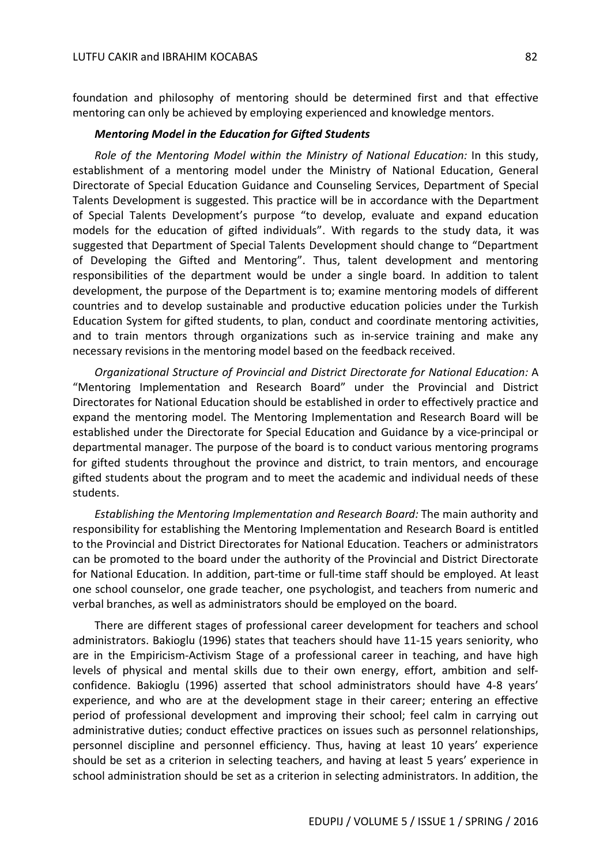foundation and philosophy of mentoring should be determined first and that effective mentoring can only be achieved by employing experienced and knowledge mentors.

#### *Mentoring Model in the Education for Gifted Students*

*Role of the Mentoring Model within the Ministry of National Education:* In this study, establishment of a mentoring model under the Ministry of National Education, General Directorate of Special Education Guidance and Counseling Services, Department of Special Talents Development is suggested. This practice will be in accordance with the Department of Special Talents Development's purpose "to develop, evaluate and expand education models for the education of gifted individuals". With regards to the study data, it was suggested that Department of Special Talents Development should change to "Department of Developing the Gifted and Mentoring". Thus, talent development and mentoring responsibilities of the department would be under a single board. In addition to talent development, the purpose of the Department is to; examine mentoring models of different countries and to develop sustainable and productive education policies under the Turkish Education System for gifted students, to plan, conduct and coordinate mentoring activities, and to train mentors through organizations such as in-service training and make any necessary revisions in the mentoring model based on the feedback received.

*Organizational Structure of Provincial and District Directorate for National Education:* A "Mentoring Implementation and Research Board" under the Provincial and District Directorates for National Education should be established in order to effectively practice and expand the mentoring model. The Mentoring Implementation and Research Board will be established under the Directorate for Special Education and Guidance by a vice-principal or departmental manager. The purpose of the board is to conduct various mentoring programs for gifted students throughout the province and district, to train mentors, and encourage gifted students about the program and to meet the academic and individual needs of these students.

*Establishing the Mentoring Implementation and Research Board:* The main authority and responsibility for establishing the Mentoring Implementation and Research Board is entitled to the Provincial and District Directorates for National Education. Teachers or administrators can be promoted to the board under the authority of the Provincial and District Directorate for National Education. In addition, part-time or full-time staff should be employed. At least one school counselor, one grade teacher, one psychologist, and teachers from numeric and verbal branches, as well as administrators should be employed on the board.

There are different stages of professional career development for teachers and school administrators. Bakioglu (1996) states that teachers should have 11-15 years seniority, who are in the Empiricism-Activism Stage of a professional career in teaching, and have high levels of physical and mental skills due to their own energy, effort, ambition and selfconfidence. Bakioglu (1996) asserted that school administrators should have 4-8 years' experience, and who are at the development stage in their career; entering an effective period of professional development and improving their school; feel calm in carrying out administrative duties; conduct effective practices on issues such as personnel relationships, personnel discipline and personnel efficiency. Thus, having at least 10 years' experience should be set as a criterion in selecting teachers, and having at least 5 years' experience in school administration should be set as a criterion in selecting administrators. In addition, the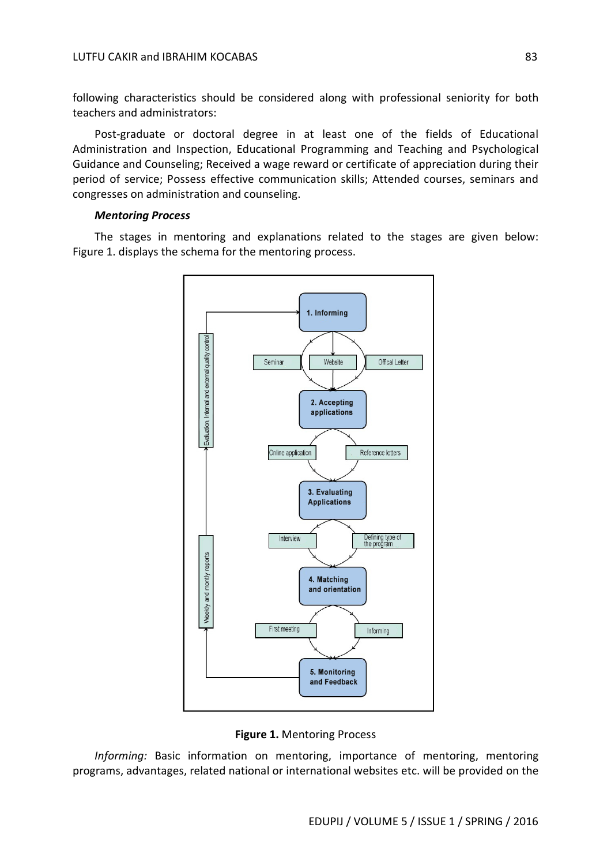following characteristics should be considered along with professional seniority for both teachers and administrators:

Post-graduate or doctoral degree in at least one of the fields of Educational Administration and Inspection, Educational Programming and Teaching and Psychological Guidance and Counseling; Received a wage reward or certificate of appreciation during their period of service; Possess effective communication skills; Attended courses, seminars and congresses on administration and counseling.

#### *Mentoring Process*

The stages in mentoring and explanations related to the stages are given below: Figure 1. displays the schema for the mentoring process.



**Figure 1.** Mentoring Process

*Informing:* Basic information on mentoring, importance of mentoring, mentoring programs, advantages, related national or international websites etc. will be provided on the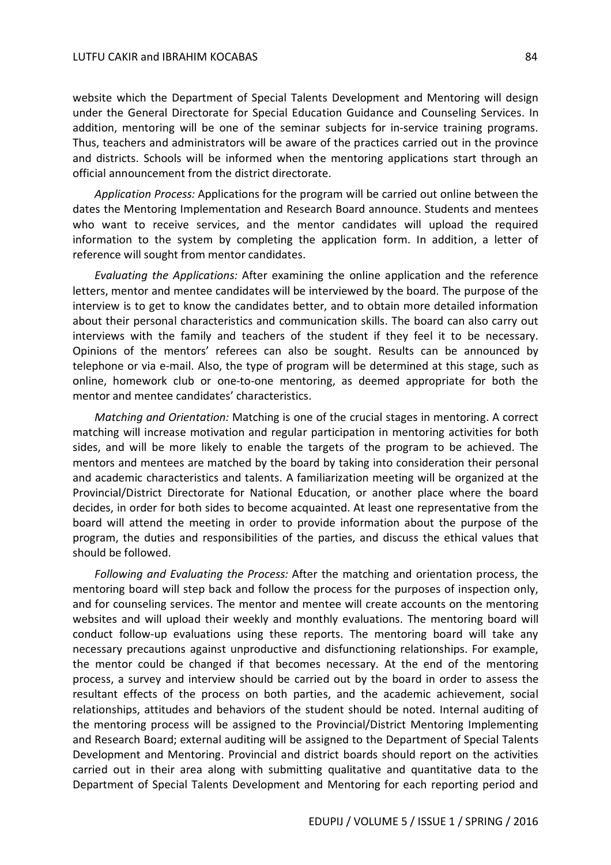website which the Department of Special Talents Development and Mentoring will design under the General Directorate for Special Education Guidance and Counseling Services. In addition, mentoring will be one of the seminar subjects for in-service training programs. Thus, teachers and administrators will be aware of the practices carried out in the province and districts. Schools will be informed when the mentoring applications start through an official announcement from the district directorate.

*Application Process:* Applications for the program will be carried out online between the dates the Mentoring Implementation and Research Board announce. Students and mentees who want to receive services, and the mentor candidates will upload the required information to the system by completing the application form. In addition, a letter of reference will sought from mentor candidates.

*Evaluating the Applications:* After examining the online application and the reference letters, mentor and mentee candidates will be interviewed by the board. The purpose of the interview is to get to know the candidates better, and to obtain more detailed information about their personal characteristics and communication skills. The board can also carry out interviews with the family and teachers of the student if they feel it to be necessary. Opinions of the mentors' referees can also be sought. Results can be announced by telephone or via e-mail. Also, the type of program will be determined at this stage, such as online, homework club or one-to-one mentoring, as deemed appropriate for both the mentor and mentee candidates' characteristics.

*Matching and Orientation:* Matching is one of the crucial stages in mentoring. A correct matching will increase motivation and regular participation in mentoring activities for both sides, and will be more likely to enable the targets of the program to be achieved. The mentors and mentees are matched by the board by taking into consideration their personal and academic characteristics and talents. A familiarization meeting will be organized at the Provincial/District Directorate for National Education, or another place where the board decides, in order for both sides to become acquainted. At least one representative from the board will attend the meeting in order to provide information about the purpose of the program, the duties and responsibilities of the parties, and discuss the ethical values that should be followed.

*Following and Evaluating the Process:* After the matching and orientation process, the mentoring board will step back and follow the process for the purposes of inspection only, and for counseling services. The mentor and mentee will create accounts on the mentoring websites and will upload their weekly and monthly evaluations. The mentoring board will conduct follow-up evaluations using these reports. The mentoring board will take any necessary precautions against unproductive and disfunctioning relationships. For example, the mentor could be changed if that becomes necessary. At the end of the mentoring process, a survey and interview should be carried out by the board in order to assess the resultant effects of the process on both parties, and the academic achievement, social relationships, attitudes and behaviors of the student should be noted. Internal auditing of the mentoring process will be assigned to the Provincial/District Mentoring Implementing and Research Board; external auditing will be assigned to the Department of Special Talents Development and Mentoring. Provincial and district boards should report on the activities carried out in their area along with submitting qualitative and quantitative data to the Department of Special Talents Development and Mentoring for each reporting period and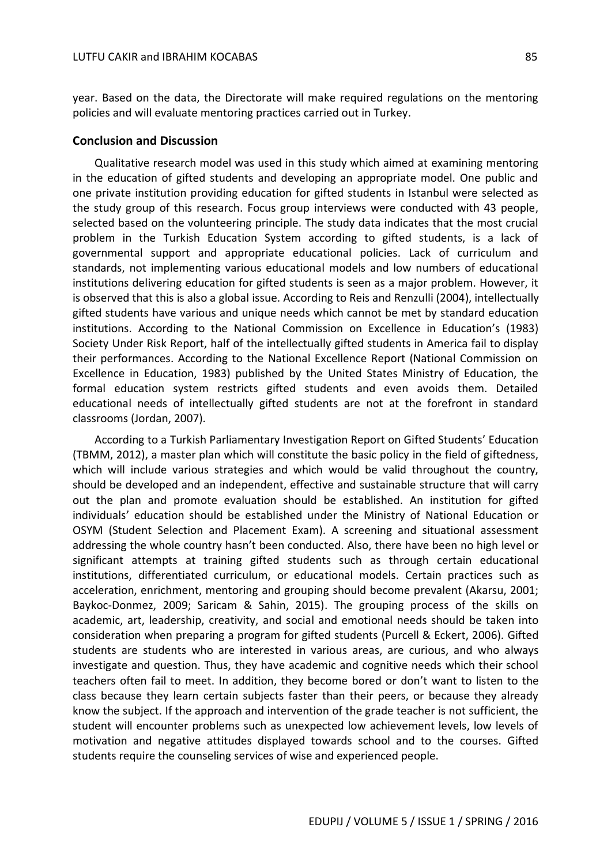year. Based on the data, the Directorate will make required regulations on the mentoring policies and will evaluate mentoring practices carried out in Turkey.

#### **Conclusion and Discussion**

Qualitative research model was used in this study which aimed at examining mentoring in the education of gifted students and developing an appropriate model. One public and one private institution providing education for gifted students in Istanbul were selected as the study group of this research. Focus group interviews were conducted with 43 people, selected based on the volunteering principle. The study data indicates that the most crucial problem in the Turkish Education System according to gifted students, is a lack of governmental support and appropriate educational policies. Lack of curriculum and standards, not implementing various educational models and low numbers of educational institutions delivering education for gifted students is seen as a major problem. However, it is observed that this is also a global issue. According to Reis and Renzulli (2004), intellectually gifted students have various and unique needs which cannot be met by standard education institutions. According to the National Commission on Excellence in Education's (1983) Society Under Risk Report, half of the intellectually gifted students in America fail to display their performances. According to the National Excellence Report (National Commission on Excellence in Education, 1983) published by the United States Ministry of Education, the formal education system restricts gifted students and even avoids them. Detailed educational needs of intellectually gifted students are not at the forefront in standard classrooms (Jordan, 2007).

According to a Turkish Parliamentary Investigation Report on Gifted Students' Education (TBMM, 2012), a master plan which will constitute the basic policy in the field of giftedness, which will include various strategies and which would be valid throughout the country, should be developed and an independent, effective and sustainable structure that will carry out the plan and promote evaluation should be established. An institution for gifted individuals' education should be established under the Ministry of National Education or OSYM (Student Selection and Placement Exam). A screening and situational assessment addressing the whole country hasn't been conducted. Also, there have been no high level or significant attempts at training gifted students such as through certain educational institutions, differentiated curriculum, or educational models. Certain practices such as acceleration, enrichment, mentoring and grouping should become prevalent (Akarsu, 2001; Baykoc-Donmez, 2009; Saricam & Sahin, 2015). The grouping process of the skills on academic, art, leadership, creativity, and social and emotional needs should be taken into consideration when preparing a program for gifted students (Purcell & Eckert, 2006). Gifted students are students who are interested in various areas, are curious, and who always investigate and question. Thus, they have academic and cognitive needs which their school teachers often fail to meet. In addition, they become bored or don't want to listen to the class because they learn certain subjects faster than their peers, or because they already know the subject. If the approach and intervention of the grade teacher is not sufficient, the student will encounter problems such as unexpected low achievement levels, low levels of motivation and negative attitudes displayed towards school and to the courses. Gifted students require the counseling services of wise and experienced people.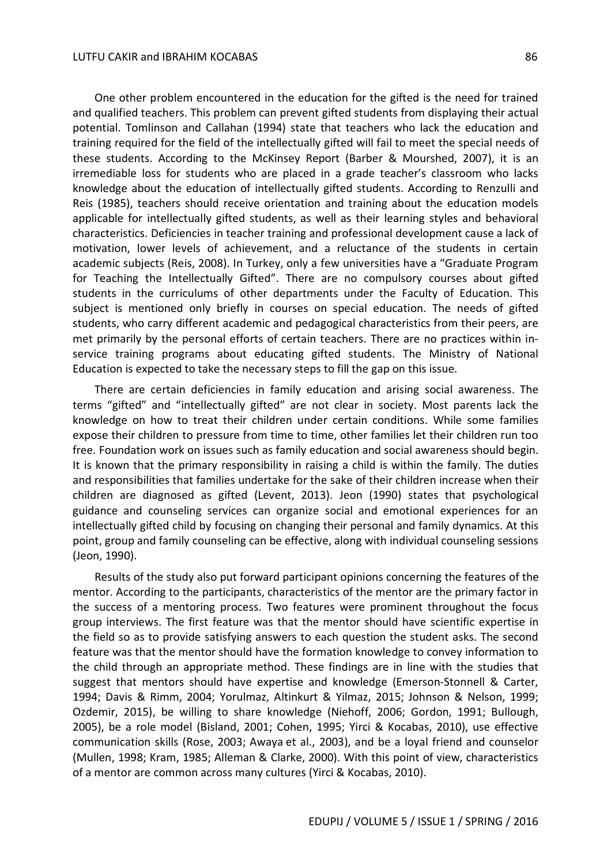One other problem encountered in the education for the gifted is the need for trained and qualified teachers. This problem can prevent gifted students from displaying their actual potential. Tomlinson and Callahan (1994) state that teachers who lack the education and training required for the field of the intellectually gifted will fail to meet the special needs of these students. According to the McKinsey Report (Barber & Mourshed, 2007), it is an irremediable loss for students who are placed in a grade teacher's classroom who lacks knowledge about the education of intellectually gifted students. According to Renzulli and Reis (1985), teachers should receive orientation and training about the education models applicable for intellectually gifted students, as well as their learning styles and behavioral characteristics. Deficiencies in teacher training and professional development cause a lack of motivation, lower levels of achievement, and a reluctance of the students in certain academic subjects (Reis, 2008). In Turkey, only a few universities have a "Graduate Program for Teaching the Intellectually Gifted". There are no compulsory courses about gifted students in the curriculums of other departments under the Faculty of Education. This subject is mentioned only briefly in courses on special education. The needs of gifted students, who carry different academic and pedagogical characteristics from their peers, are met primarily by the personal efforts of certain teachers. There are no practices within inservice training programs about educating gifted students. The Ministry of National Education is expected to take the necessary steps to fill the gap on this issue.

There are certain deficiencies in family education and arising social awareness. The terms "gifted" and "intellectually gifted" are not clear in society. Most parents lack the knowledge on how to treat their children under certain conditions. While some families expose their children to pressure from time to time, other families let their children run too free. Foundation work on issues such as family education and social awareness should begin. It is known that the primary responsibility in raising a child is within the family. The duties and responsibilities that families undertake for the sake of their children increase when their children are diagnosed as gifted (Levent, 2013). Jeon (1990) states that psychological guidance and counseling services can organize social and emotional experiences for an intellectually gifted child by focusing on changing their personal and family dynamics. At this point, group and family counseling can be effective, along with individual counseling sessions (Jeon, 1990).

Results of the study also put forward participant opinions concerning the features of the mentor. According to the participants, characteristics of the mentor are the primary factor in the success of a mentoring process. Two features were prominent throughout the focus group interviews. The first feature was that the mentor should have scientific expertise in the field so as to provide satisfying answers to each question the student asks. The second feature was that the mentor should have the formation knowledge to convey information to the child through an appropriate method. These findings are in line with the studies that suggest that mentors should have expertise and knowledge (Emerson-Stonnell & Carter, 1994; Davis & Rimm, 2004; Yorulmaz, Altinkurt & Yilmaz, 2015; Johnson & Nelson, 1999; Ozdemir, 2015), be willing to share knowledge (Niehoff, 2006; Gordon, 1991; Bullough, 2005), be a role model (Bisland, 2001; Cohen, 1995; Yirci & Kocabas, 2010), use effective communication skills (Rose, 2003; Awaya et al., 2003), and be a loyal friend and counselor (Mullen, 1998; Kram, 1985; Alleman & Clarke, 2000). With this point of view, characteristics of a mentor are common across many cultures (Yirci & Kocabas, 2010).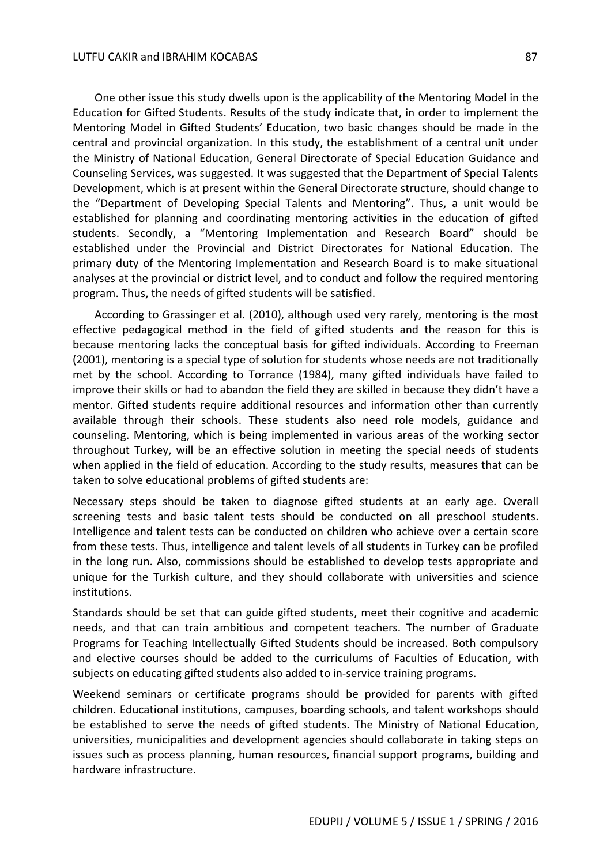One other issue this study dwells upon is the applicability of the Mentoring Model in the Education for Gifted Students. Results of the study indicate that, in order to implement the Mentoring Model in Gifted Students' Education, two basic changes should be made in the central and provincial organization. In this study, the establishment of a central unit under the Ministry of National Education, General Directorate of Special Education Guidance and Counseling Services, was suggested. It was suggested that the Department of Special Talents Development, which is at present within the General Directorate structure, should change to the "Department of Developing Special Talents and Mentoring". Thus, a unit would be established for planning and coordinating mentoring activities in the education of gifted students. Secondly, a "Mentoring Implementation and Research Board" should be established under the Provincial and District Directorates for National Education. The primary duty of the Mentoring Implementation and Research Board is to make situational analyses at the provincial or district level, and to conduct and follow the required mentoring program. Thus, the needs of gifted students will be satisfied.

According to Grassinger et al. (2010), although used very rarely, mentoring is the most effective pedagogical method in the field of gifted students and the reason for this is because mentoring lacks the conceptual basis for gifted individuals. According to Freeman (2001), mentoring is a special type of solution for students whose needs are not traditionally met by the school. According to Torrance (1984), many gifted individuals have failed to improve their skills or had to abandon the field they are skilled in because they didn't have a mentor. Gifted students require additional resources and information other than currently available through their schools. These students also need role models, guidance and counseling. Mentoring, which is being implemented in various areas of the working sector throughout Turkey, will be an effective solution in meeting the special needs of students when applied in the field of education. According to the study results, measures that can be taken to solve educational problems of gifted students are:

Necessary steps should be taken to diagnose gifted students at an early age. Overall screening tests and basic talent tests should be conducted on all preschool students. Intelligence and talent tests can be conducted on children who achieve over a certain score from these tests. Thus, intelligence and talent levels of all students in Turkey can be profiled in the long run. Also, commissions should be established to develop tests appropriate and unique for the Turkish culture, and they should collaborate with universities and science institutions.

Standards should be set that can guide gifted students, meet their cognitive and academic needs, and that can train ambitious and competent teachers. The number of Graduate Programs for Teaching Intellectually Gifted Students should be increased. Both compulsory and elective courses should be added to the curriculums of Faculties of Education, with subjects on educating gifted students also added to in-service training programs.

Weekend seminars or certificate programs should be provided for parents with gifted children. Educational institutions, campuses, boarding schools, and talent workshops should be established to serve the needs of gifted students. The Ministry of National Education, universities, municipalities and development agencies should collaborate in taking steps on issues such as process planning, human resources, financial support programs, building and hardware infrastructure.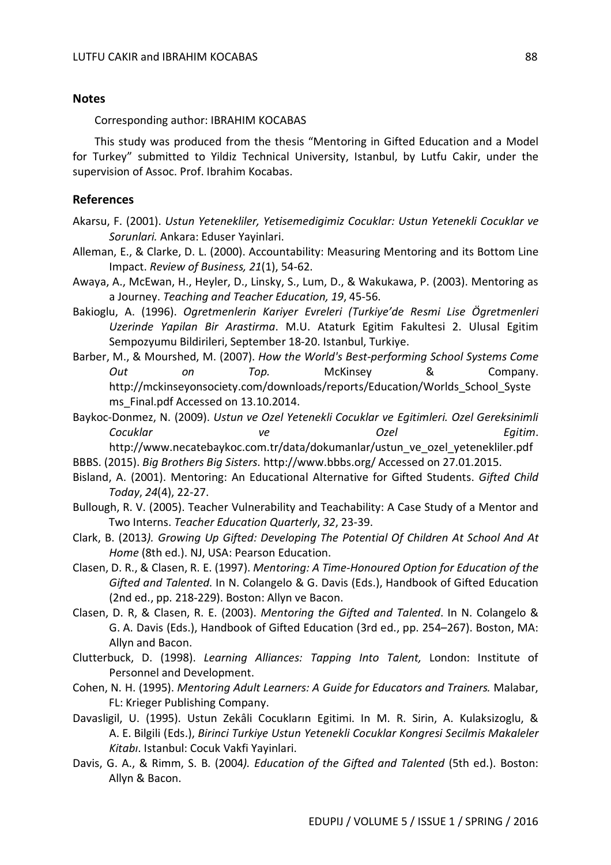#### **Notes**

Corresponding author: IBRAHIM KOCABAS

This study was produced from the thesis "Mentoring in Gifted Education and a Model for Turkey" submitted to Yildiz Technical University, Istanbul, by Lutfu Cakir, under the supervision of Assoc. Prof. Ibrahim Kocabas.

#### **References**

- Akarsu, F. (2001). *Ustun Yetenekliler, Yetisemedigimiz Cocuklar: Ustun Yetenekli Cocuklar ve Sorunlari.* Ankara: Eduser Yayinlari.
- Alleman, E., & Clarke, D. L. (2000). Accountability: Measuring Mentoring and its Bottom Line Impact. *Review of Business, 21*(1), 54-62.
- Awaya, A., McEwan, H., Heyler, D., Linsky, S., Lum, D., & Wakukawa, P. (2003). Mentoring as a Journey. *Teaching and Teacher Education, 19*, 45-56.
- Bakioglu, A. (1996). *Ogretmenlerin Kariyer Evreleri (Turkiye'de Resmi Lise Ögretmenleri Uzerinde Yapilan Bir Arastirma*. M.U. Ataturk Egitim Fakultesi 2. Ulusal Egitim Sempozyumu Bildirileri, September 18-20. Istanbul, Turkiye.
- Barber, M., & Mourshed, M. (2007). *How the World's Best-performing School Systems Come Out on Top.* McKinsey & Company. http://mckinseyonsociety.com/downloads/reports/Education/Worlds\_School\_Syste ms Final.pdf Accessed on 13.10.2014.

Baykoc-Donmez, N. (2009). *Ustun ve Ozel Yetenekli Cocuklar ve Egitimleri. Ozel Gereksinimli Cocuklar ve Ozel Egitim*. http://www.necatebaykoc.com.tr/data/dokumanlar/ustun\_ve\_ozel\_yetenekliler.pdf

- BBBS. (2015). *Big Brothers Big Sisters*. http://www.bbbs.org/ Accessed on 27.01.2015.
- Bisland, A. (2001). Mentoring: An Educational Alternative for Gifted Students. *Gifted Child Today*, *24*(4), 22-27.
- Bullough, R. V. (2005). Teacher Vulnerability and Teachability: A Case Study of a Mentor and Two Interns. *Teacher Education Quarterly*, *32*, 23-39.
- Clark, B. (2013*). Growing Up Gifted: Developing The Potential Of Children At School And At Home* (8th ed.). NJ, USA: Pearson Education.
- Clasen, D. R., & Clasen, R. E. (1997). *Mentoring: A Time-Honoured Option for Education of the Gifted and Talented*. In N. Colangelo & G. Davis (Eds.), Handbook of Gifted Education (2nd ed., pp. 218-229). Boston: Allyn ve Bacon.
- Clasen, D. R, & Clasen, R. E. (2003). *Mentoring the Gifted and Talented*. In N. Colangelo & G. A. Davis (Eds.), Handbook of Gifted Education (3rd ed., pp. 254–267). Boston, MA: Allyn and Bacon.
- Clutterbuck, D. (1998). *Learning Alliances: Tapping Into Talent,* London: Institute of Personnel and Development.
- Cohen, N. H. (1995). *Mentoring Adult Learners: A Guide for Educators and Trainers.* Malabar, FL: Krieger Publishing Company.
- Davasligil, U. (1995). Ustun Zekâli Cocukların Egitimi. In M. R. Sirin, A. Kulaksizoglu, & A. E. Bilgili (Eds.), *Birinci Turkiye Ustun Yetenekli Cocuklar Kongresi Secilmis Makaleler Kitabı*. Istanbul: Cocuk Vakfi Yayinlari.
- Davis, G. A., & Rimm, S. B. (2004*). Education of the Gifted and Talented* (5th ed.). Boston: Allyn & Bacon.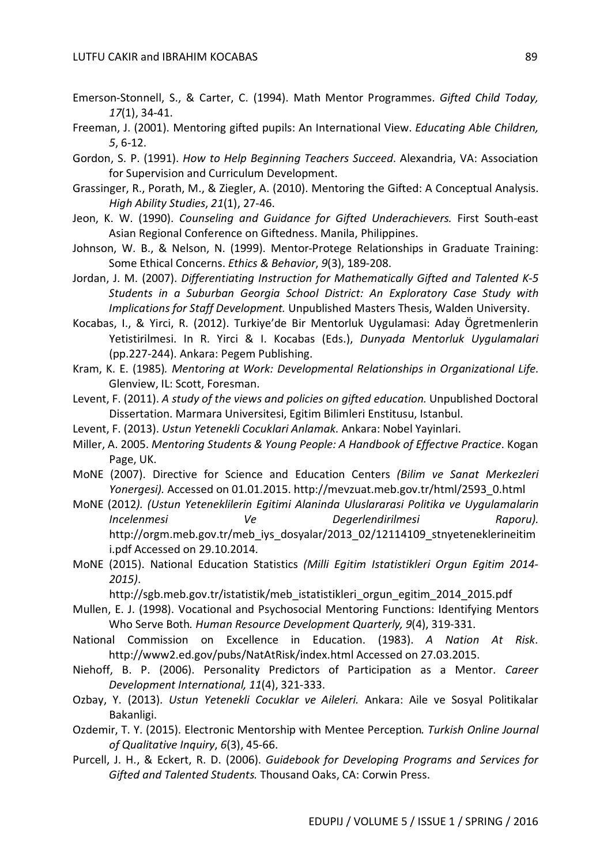- Emerson-Stonnell, S., & Carter, C. (1994). Math Mentor Programmes. *Gifted Child Today, 17*(1), 34-41.
- Freeman, J. (2001). Mentoring gifted pupils: An International View. *Educating Able Children, 5*, 6-12.
- Gordon, S. P. (1991). *How to Help Beginning Teachers Succeed*. Alexandria, VA: Association for Supervision and Curriculum Development.
- Grassinger, R., Porath, M., & Ziegler, A. (2010). Mentoring the Gifted: A Conceptual Analysis. *High Ability Studies*, *21*(1), 27-46.
- Jeon, K. W. (1990). *Counseling and Guidance for Gifted Underachievers.* First South-east Asian Regional Conference on Giftedness. Manila, Philippines.
- Johnson, W. B., & Nelson, N. (1999). Mentor-Protege Relationships in Graduate Training: Some Ethical Concerns. *Ethics & Behavior*, *9*(3), 189-208.
- Jordan, J. M. (2007). *Differentiating Instruction for Mathematically Gifted and Talented K-5 Students in a Suburban Georgia School District: An Exploratory Case Study with Implications for Staff Development.* Unpublished Masters Thesis, Walden University.
- Kocabas, I., & Yirci, R. (2012). Turkiye'de Bir Mentorluk Uygulamasi: Aday Ögretmenlerin Yetistirilmesi. In R. Yirci & I. Kocabas (Eds.), *Dunyada Mentorluk Uygulamalari* (pp.227-244). Ankara: Pegem Publishing.
- Kram, K. E. (1985)*. Mentoring at Work: Developmental Relationships in Organizational Life.* Glenview, IL: Scott, Foresman.
- Levent, F. (2011). *A study of the views and policies on gifted education.* Unpublished Doctoral Dissertation. Marmara Universitesi, Egitim Bilimleri Enstitusu, Istanbul.
- Levent, F. (2013). *Ustun Yetenekli Cocuklari Anlamak.* Ankara: Nobel Yayinlari.
- Miller, A. 2005. *Mentoring Students & Young People: A Handbook of Effectıve Practice*. Kogan Page, UK.
- MoNE (2007). Directive for Science and Education Centers *(Bilim ve Sanat Merkezleri Yonergesi).* Accessed on 01.01.2015. http://mevzuat.meb.gov.tr/html/2593\_0.html
- MoNE (2012*). (Ustun Yeteneklilerin Egitimi Alaninda Uluslararasi Politika ve Uygulamalarin Incelenmesi Ve Degerlendirilmesi Raporu).* http://orgm.meb.gov.tr/meb iys\_dosyalar/2013\_02/12114109\_stnyeteneklerineitim i.pdf Accessed on 29.10.2014.
- MoNE (2015). National Education Statistics *(Milli Egitim Istatistikleri Orgun Egitim 2014- 2015)*.

http://sgb.meb.gov.tr/istatistik/meb\_istatistikleri\_orgun\_egitim\_2014\_2015.pdf

- Mullen, E. J. (1998). Vocational and Psychosocial Mentoring Functions: Identifying Mentors Who Serve Both*. Human Resource Development Quarterly, 9*(4), 319-331.
- National Commission on Excellence in Education. (1983). *A Nation At Risk*. http://www2.ed.gov/pubs/NatAtRisk/index.html Accessed on 27.03.2015.
- Niehoff, B. P. (2006). Personality Predictors of Participation as a Mentor. *Career Development International, 11*(4), 321-333.
- Ozbay, Y. (2013). *Ustun Yetenekli Cocuklar ve Aileleri.* Ankara: Aile ve Sosyal Politikalar Bakanligi.
- Ozdemir, T. Y. (2015). Electronic Mentorship with Mentee Perception*. Turkish Online Journal of Qualitative Inquiry*, *6*(3), 45-66.
- Purcell, J. H., & Eckert, R. D. (2006). *Guidebook for Developing Programs and Services for Gifted and Talented Students.* Thousand Oaks, CA: Corwin Press.